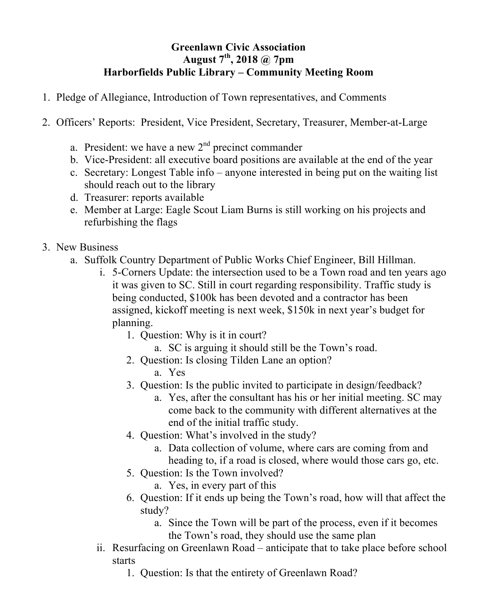## **Greenlawn Civic Association August 7th , 2018 @ 7pm Harborfields Public Library – Community Meeting Room**

- 1. Pledge of Allegiance, Introduction of Town representatives, and Comments
- 2. Officers' Reports: President, Vice President, Secretary, Treasurer, Member-at-Large
	- a. President: we have a new  $2<sup>nd</sup>$  precinct commander
	- b. Vice-President: all executive board positions are available at the end of the year
	- c. Secretary: Longest Table info anyone interested in being put on the waiting list should reach out to the library
	- d. Treasurer: reports available
	- e. Member at Large: Eagle Scout Liam Burns is still working on his projects and refurbishing the flags
- 3. New Business
	- a. Suffolk Country Department of Public Works Chief Engineer, Bill Hillman.
		- i. 5-Corners Update: the intersection used to be a Town road and ten years ago it was given to SC. Still in court regarding responsibility. Traffic study is being conducted, \$100k has been devoted and a contractor has been assigned, kickoff meeting is next week, \$150k in next year's budget for planning.
			- 1. Question: Why is it in court?
				- a. SC is arguing it should still be the Town's road.
			- 2. Question: Is closing Tilden Lane an option?
				- a. Yes
			- 3. Question: Is the public invited to participate in design/feedback?
				- a. Yes, after the consultant has his or her initial meeting. SC may come back to the community with different alternatives at the end of the initial traffic study.
			- 4. Question: What's involved in the study?
				- a. Data collection of volume, where cars are coming from and heading to, if a road is closed, where would those cars go, etc.
			- 5. Question: Is the Town involved?
				- a. Yes, in every part of this
			- 6. Question: If it ends up being the Town's road, how will that affect the study?
				- a. Since the Town will be part of the process, even if it becomes the Town's road, they should use the same plan
		- ii. Resurfacing on Greenlawn Road anticipate that to take place before school starts
			- 1. Question: Is that the entirety of Greenlawn Road?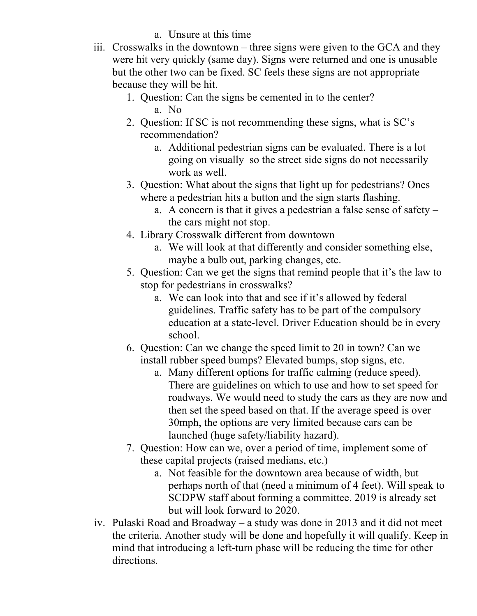## a. Unsure at this time

- iii. Crosswalks in the downtown three signs were given to the GCA and they were hit very quickly (same day). Signs were returned and one is unusable but the other two can be fixed. SC feels these signs are not appropriate because they will be hit.
	- 1. Question: Can the signs be cemented in to the center? a. No
	- 2. Question: If SC is not recommending these signs, what is SC's recommendation?
		- a. Additional pedestrian signs can be evaluated. There is a lot going on visually so the street side signs do not necessarily work as well.
	- 3. Question: What about the signs that light up for pedestrians? Ones where a pedestrian hits a button and the sign starts flashing.
		- a. A concern is that it gives a pedestrian a false sense of safety the cars might not stop.
	- 4. Library Crosswalk different from downtown
		- a. We will look at that differently and consider something else, maybe a bulb out, parking changes, etc.
	- 5. Question: Can we get the signs that remind people that it's the law to stop for pedestrians in crosswalks?
		- a. We can look into that and see if it's allowed by federal guidelines. Traffic safety has to be part of the compulsory education at a state-level. Driver Education should be in every school.
	- 6. Question: Can we change the speed limit to 20 in town? Can we install rubber speed bumps? Elevated bumps, stop signs, etc.
		- a. Many different options for traffic calming (reduce speed). There are guidelines on which to use and how to set speed for roadways. We would need to study the cars as they are now and then set the speed based on that. If the average speed is over 30mph, the options are very limited because cars can be launched (huge safety/liability hazard).
	- 7. Question: How can we, over a period of time, implement some of these capital projects (raised medians, etc.)
		- a. Not feasible for the downtown area because of width, but perhaps north of that (need a minimum of 4 feet). Will speak to SCDPW staff about forming a committee. 2019 is already set but will look forward to 2020.
- iv. Pulaski Road and Broadway a study was done in 2013 and it did not meet the criteria. Another study will be done and hopefully it will qualify. Keep in mind that introducing a left-turn phase will be reducing the time for other directions.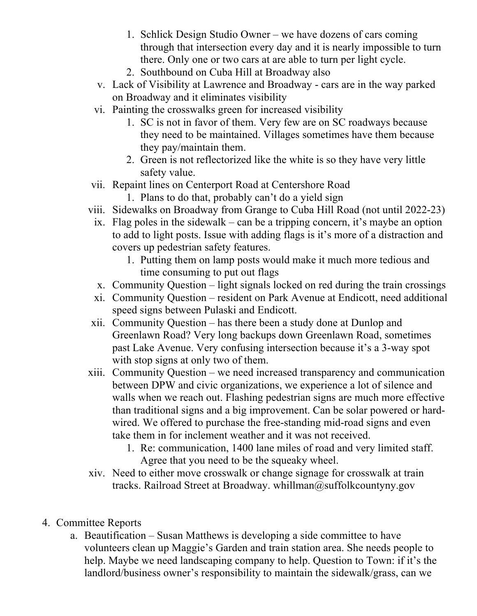- 1. Schlick Design Studio Owner we have dozens of cars coming through that intersection every day and it is nearly impossible to turn there. Only one or two cars at are able to turn per light cycle.
- 2. Southbound on Cuba Hill at Broadway also
- v. Lack of Visibility at Lawrence and Broadway cars are in the way parked on Broadway and it eliminates visibility
- vi. Painting the crosswalks green for increased visibility
	- 1. SC is not in favor of them. Very few are on SC roadways because they need to be maintained. Villages sometimes have them because they pay/maintain them.
	- 2. Green is not reflectorized like the white is so they have very little safety value.
- vii. Repaint lines on Centerport Road at Centershore Road
	- 1. Plans to do that, probably can't do a yield sign
- viii. Sidewalks on Broadway from Grange to Cuba Hill Road (not until 2022-23)
	- ix. Flag poles in the sidewalk can be a tripping concern, it's maybe an option to add to light posts. Issue with adding flags is it's more of a distraction and covers up pedestrian safety features.
		- 1. Putting them on lamp posts would make it much more tedious and time consuming to put out flags
	- x. Community Question light signals locked on red during the train crossings
	- xi. Community Question resident on Park Avenue at Endicott, need additional speed signs between Pulaski and Endicott.
- xii. Community Question has there been a study done at Dunlop and Greenlawn Road? Very long backups down Greenlawn Road, sometimes past Lake Avenue. Very confusing intersection because it's a 3-way spot with stop signs at only two of them.
- xiii. Community Question we need increased transparency and communication between DPW and civic organizations, we experience a lot of silence and walls when we reach out. Flashing pedestrian signs are much more effective than traditional signs and a big improvement. Can be solar powered or hardwired. We offered to purchase the free-standing mid-road signs and even take them in for inclement weather and it was not received.
	- 1. Re: communication, 1400 lane miles of road and very limited staff. Agree that you need to be the squeaky wheel.
- xiv. Need to either move crosswalk or change signage for crosswalk at train tracks. Railroad Street at Broadway. whillman@suffolkcountyny.gov
- 4. Committee Reports
	- a. Beautification Susan Matthews is developing a side committee to have volunteers clean up Maggie's Garden and train station area. She needs people to help. Maybe we need landscaping company to help. Question to Town: if it's the landlord/business owner's responsibility to maintain the sidewalk/grass, can we